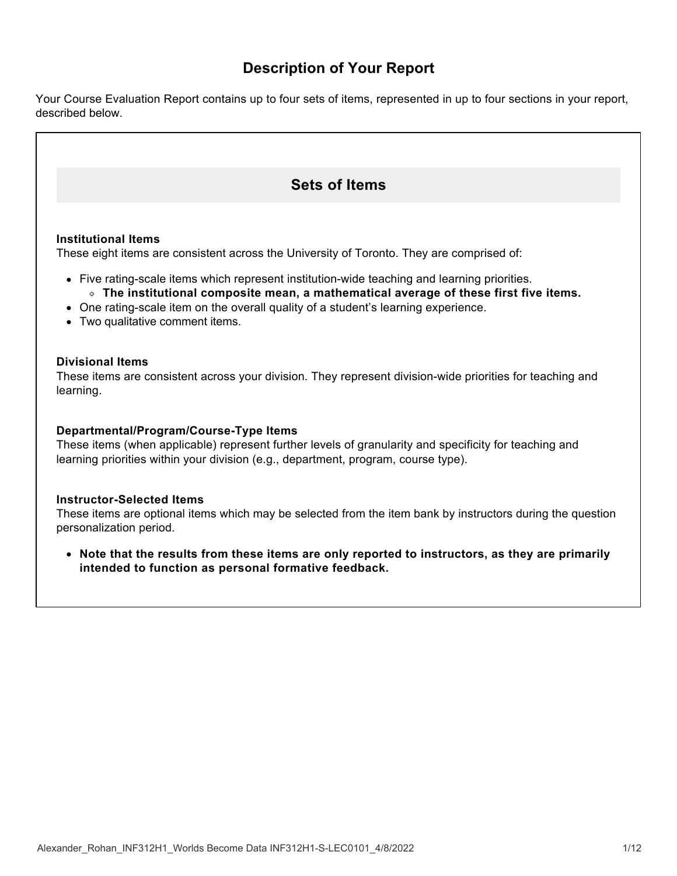# **Description of Your Report**

Your Course Evaluation Report contains up to four sets of items, represented in up to four sections in your report, described below.

# **Sets of Items**

## **Institutional Items**

These eight items are consistent across the University of Toronto. They are comprised of:

- Five rating-scale items which represent institution-wide teaching and learning priorities. **The institutional composite mean, a mathematical average of these first five items.**
- One rating-scale item on the overall quality of a student's learning experience.
- 
- Two qualitative comment items.

## **Divisional Items**

These items are consistent across your division. They represent division-wide priorities for teaching and learning.

## **Departmental/Program/Course-Type Items**

These items (when applicable) represent further levels of granularity and specificity for teaching and learning priorities within your division (e.g., department, program, course type).

### **Instructor-Selected Items**

These items are optional items which may be selected from the item bank by instructors during the question personalization period.

**Note that the results from these items are only reported to instructors, as they are primarily intended to function as personal formative feedback.**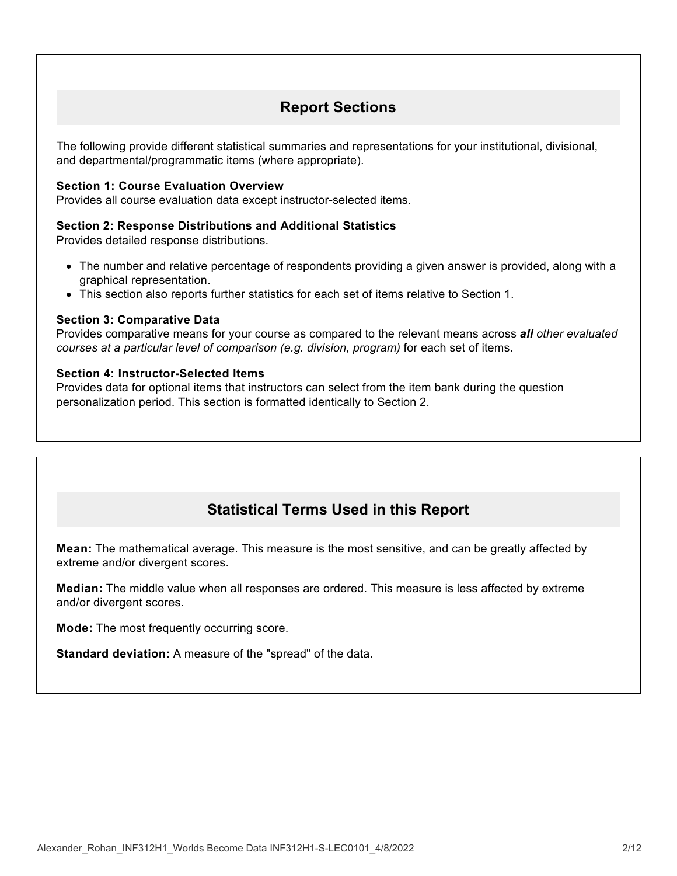# **Report Sections**

The following provide different statistical summaries and representations for your institutional, divisional, and departmental/programmatic items (where appropriate).

## **Section 1: Course Evaluation Overview**

Provides all course evaluation data except instructor-selected items.

### **Section 2: Response Distributions and Additional Statistics**

Provides detailed response distributions.

- The number and relative percentage of respondents providing a given answer is provided, along with a graphical representation.
- This section also reports further statistics for each set of items relative to Section 1.

## **Section 3: Comparative Data**

Provides comparative means for your course as compared to the relevant means across *all other evaluated courses at a particular level of comparison (e.g. division, program)* for each set of items.

## **Section 4: Instructor-Selected Items**

Provides data for optional items that instructors can select from the item bank during the question personalization period. This section is formatted identically to Section 2.

# **Statistical Terms Used in this Report**

**Mean:** The mathematical average. This measure is the most sensitive, and can be greatly affected by extreme and/or divergent scores.

**Median:** The middle value when all responses are ordered. This measure is less affected by extreme and/or divergent scores.

**Mode:** The most frequently occurring score.

**Standard deviation:** A measure of the "spread" of the data.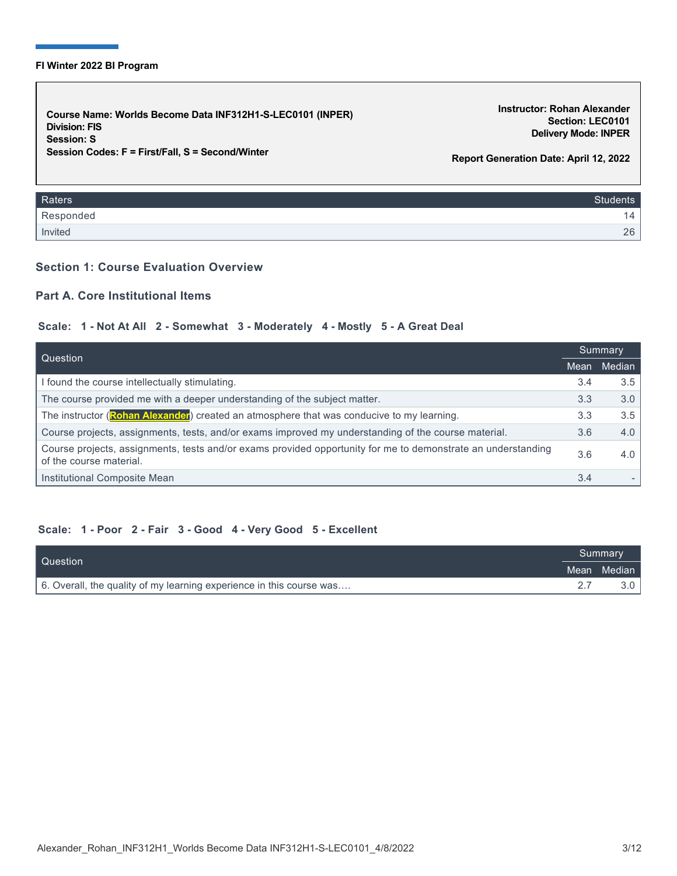#### **FI Winter 2022 BI Program**

**Course Name: Worlds Become Data INF312H1-S-LEC0101 (INPER) Division: FIS Session: S Session Codes: F = First/Fall, S = Second/Winter**

**Instructor: Rohan Alexander Section: LEC0101 Delivery Mode: INPER**

**Report Generation Date: April 12, 2022**

| Raters    | <b>Students</b> |
|-----------|-----------------|
| Responded | 4               |
| Invited   | 26              |

## **Section 1: Course Evaluation Overview**

## **Part A. Core Institutional Items**

## **Scale: 1 - Not At All 2 - Somewhat 3 - Moderately 4 - Mostly 5 - A Great Deal**

| Question                                                                                                                                |     | Summary |  |
|-----------------------------------------------------------------------------------------------------------------------------------------|-----|---------|--|
|                                                                                                                                         |     | Median  |  |
| I found the course intellectually stimulating.                                                                                          | 3.4 | 3.5     |  |
| The course provided me with a deeper understanding of the subject matter.                                                               | 3.3 | 3.0     |  |
| The instructor (Rohan Alexander) created an atmosphere that was conducive to my learning.                                               | 3.3 | 3.5     |  |
| Course projects, assignments, tests, and/or exams improved my understanding of the course material.                                     | 3.6 | 4.0     |  |
| Course projects, assignments, tests and/or exams provided opportunity for me to demonstrate an understanding<br>of the course material. | 3.6 | 4.0     |  |
| Institutional Composite Mean                                                                                                            | 3.4 |         |  |

### **Scale: 1 - Poor 2 - Fair 3 - Good 4 - Very Good 5 - Excellent**

| Question                                                             |  | 'Summary    |  |
|----------------------------------------------------------------------|--|-------------|--|
|                                                                      |  | Mean Median |  |
| 6. Overall, the quality of my learning experience in this course was |  |             |  |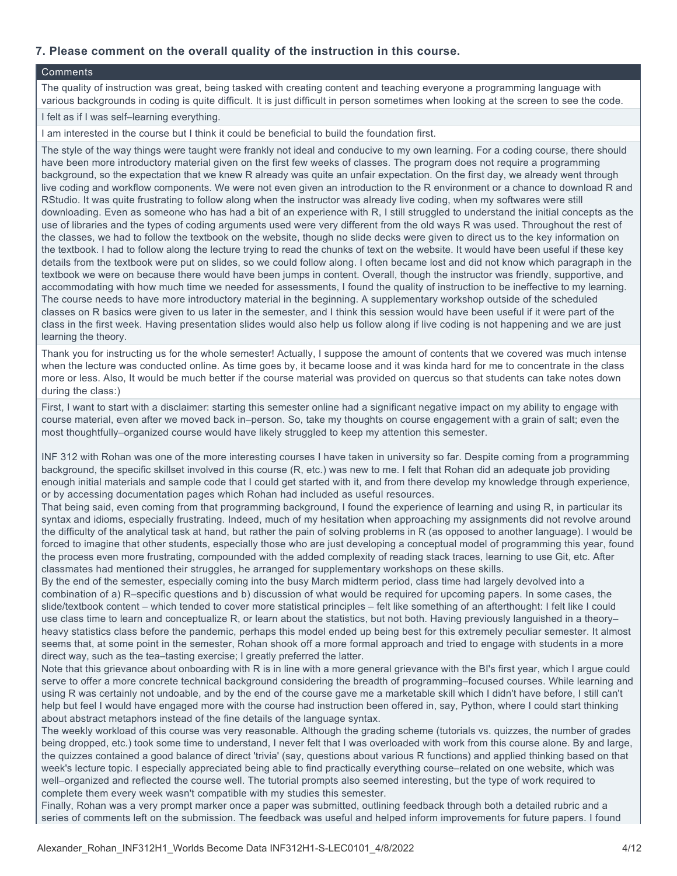## **7. Please comment on the overall quality of the instruction in this course.**

#### **Comments**

The quality of instruction was great, being tasked with creating content and teaching everyone a programming language with various backgrounds in coding is quite difficult. It is just difficult in person sometimes when looking at the screen to see the code.

#### I felt as if I was self–learning everything.

I am interested in the course but I think it could be beneficial to build the foundation first.

The style of the way things were taught were frankly not ideal and conducive to my own learning. For a coding course, there should have been more introductory material given on the first few weeks of classes. The program does not require a programming background, so the expectation that we knew R already was quite an unfair expectation. On the first day, we already went through live coding and workflow components. We were not even given an introduction to the R environment or a chance to download R and RStudio. It was quite frustrating to follow along when the instructor was already live coding, when my softwares were still downloading. Even as someone who has had a bit of an experience with R, I still struggled to understand the initial concepts as the use of libraries and the types of coding arguments used were very different from the old ways R was used. Throughout the rest of the classes, we had to follow the textbook on the website, though no slide decks were given to direct us to the key information on the textbook. I had to follow along the lecture trying to read the chunks of text on the website. It would have been useful if these key details from the textbook were put on slides, so we could follow along. I often became lost and did not know which paragraph in the textbook we were on because there would have been jumps in content. Overall, though the instructor was friendly, supportive, and accommodating with how much time we needed for assessments, I found the quality of instruction to be ineffective to my learning. The course needs to have more introductory material in the beginning. A supplementary workshop outside of the scheduled classes on R basics were given to us later in the semester, and I think this session would have been useful if it were part of the class in the first week. Having presentation slides would also help us follow along if live coding is not happening and we are just learning the theory.

Thank you for instructing us for the whole semester! Actually, I suppose the amount of contents that we covered was much intense when the lecture was conducted online. As time goes by, it became loose and it was kinda hard for me to concentrate in the class more or less. Also, It would be much better if the course material was provided on quercus so that students can take notes down during the class:)

First, I want to start with a disclaimer: starting this semester online had a significant negative impact on my ability to engage with course material, even after we moved back in–person. So, take my thoughts on course engagement with a grain of salt; even the most thoughtfully–organized course would have likely struggled to keep my attention this semester.

INF 312 with Rohan was one of the more interesting courses I have taken in university so far. Despite coming from a programming background, the specific skillset involved in this course (R, etc.) was new to me. I felt that Rohan did an adequate job providing enough initial materials and sample code that I could get started with it, and from there develop my knowledge through experience, or by accessing documentation pages which Rohan had included as useful resources.

That being said, even coming from that programming background, I found the experience of learning and using R, in particular its syntax and idioms, especially frustrating. Indeed, much of my hesitation when approaching my assignments did not revolve around the difficulty of the analytical task at hand, but rather the pain of solving problems in R (as opposed to another language). I would be forced to imagine that other students, especially those who are just developing a conceptual model of programming this year, found the process even more frustrating, compounded with the added complexity of reading stack traces, learning to use Git, etc. After classmates had mentioned their struggles, he arranged for supplementary workshops on these skills.

By the end of the semester, especially coming into the busy March midterm period, class time had largely devolved into a combination of a) R–specific questions and b) discussion of what would be required for upcoming papers. In some cases, the slide/textbook content – which tended to cover more statistical principles – felt like something of an afterthought: I felt like I could use class time to learn and conceptualize R, or learn about the statistics, but not both. Having previously languished in a theory– heavy statistics class before the pandemic, perhaps this model ended up being best for this extremely peculiar semester. It almost seems that, at some point in the semester, Rohan shook off a more formal approach and tried to engage with students in a more direct way, such as the tea–tasting exercise; I greatly preferred the latter.

Note that this grievance about onboarding with R is in line with a more general grievance with the BI's first year, which I argue could serve to offer a more concrete technical background considering the breadth of programming–focused courses. While learning and using R was certainly not undoable, and by the end of the course gave me a marketable skill which I didn't have before, I still can't help but feel I would have engaged more with the course had instruction been offered in, say, Python, where I could start thinking about abstract metaphors instead of the fine details of the language syntax.

The weekly workload of this course was very reasonable. Although the grading scheme (tutorials vs. quizzes, the number of grades being dropped, etc.) took some time to understand, I never felt that I was overloaded with work from this course alone. By and large, the quizzes contained a good balance of direct 'trivia' (say, questions about various R functions) and applied thinking based on that week's lecture topic. I especially appreciated being able to find practically everything course–related on one website, which was well–organized and reflected the course well. The tutorial prompts also seemed interesting, but the type of work required to complete them every week wasn't compatible with my studies this semester.

Finally, Rohan was a very prompt marker once a paper was submitted, outlining feedback through both a detailed rubric and a series of comments left on the submission. The feedback was useful and helped inform improvements for future papers. I found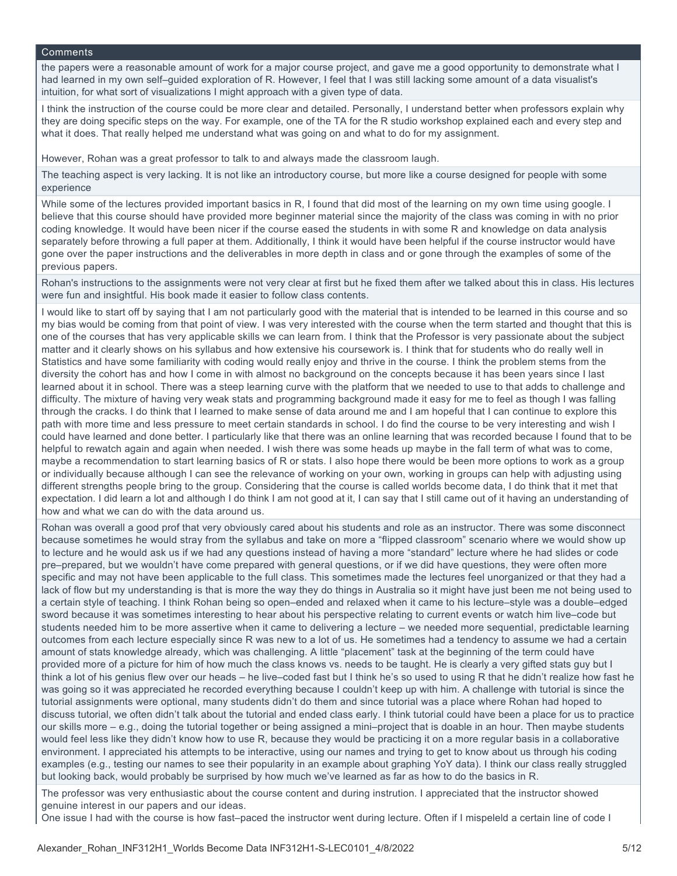#### **Comments**

the papers were a reasonable amount of work for a major course project, and gave me a good opportunity to demonstrate what I had learned in my own self–guided exploration of R. However, I feel that I was still lacking some amount of a data visualist's intuition, for what sort of visualizations I might approach with a given type of data.

I think the instruction of the course could be more clear and detailed. Personally, I understand better when professors explain why they are doing specific steps on the way. For example, one of the TA for the R studio workshop explained each and every step and what it does. That really helped me understand what was going on and what to do for my assignment.

However, Rohan was a great professor to talk to and always made the classroom laugh.

The teaching aspect is very lacking. It is not like an introductory course, but more like a course designed for people with some experience

While some of the lectures provided important basics in R, I found that did most of the learning on my own time using google. I believe that this course should have provided more beginner material since the majority of the class was coming in with no prior coding knowledge. It would have been nicer if the course eased the students in with some R and knowledge on data analysis separately before throwing a full paper at them. Additionally, I think it would have been helpful if the course instructor would have gone over the paper instructions and the deliverables in more depth in class and or gone through the examples of some of the previous papers.

Rohan's instructions to the assignments were not very clear at first but he fixed them after we talked about this in class. His lectures were fun and insightful. His book made it easier to follow class contents.

I would like to start off by saying that I am not particularly good with the material that is intended to be learned in this course and so my bias would be coming from that point of view. I was very interested with the course when the term started and thought that this is one of the courses that has very applicable skills we can learn from. I think that the Professor is very passionate about the subject matter and it clearly shows on his syllabus and how extensive his coursework is. I think that for students who do really well in Statistics and have some familiarity with coding would really enjoy and thrive in the course. I think the problem stems from the diversity the cohort has and how I come in with almost no background on the concepts because it has been years since I last learned about it in school. There was a steep learning curve with the platform that we needed to use to that adds to challenge and difficulty. The mixture of having very weak stats and programming background made it easy for me to feel as though I was falling through the cracks. I do think that I learned to make sense of data around me and I am hopeful that I can continue to explore this path with more time and less pressure to meet certain standards in school. I do find the course to be very interesting and wish I could have learned and done better. I particularly like that there was an online learning that was recorded because I found that to be helpful to rewatch again and again when needed. I wish there was some heads up maybe in the fall term of what was to come, maybe a recommendation to start learning basics of R or stats. I also hope there would be been more options to work as a group or individually because although I can see the relevance of working on your own, working in groups can help with adjusting using different strengths people bring to the group. Considering that the course is called worlds become data, I do think that it met that expectation. I did learn a lot and although I do think I am not good at it, I can say that I still came out of it having an understanding of how and what we can do with the data around us.

Rohan was overall a good prof that very obviously cared about his students and role as an instructor. There was some disconnect because sometimes he would stray from the syllabus and take on more a "flipped classroom" scenario where we would show up to lecture and he would ask us if we had any questions instead of having a more "standard" lecture where he had slides or code pre–prepared, but we wouldn't have come prepared with general questions, or if we did have questions, they were often more specific and may not have been applicable to the full class. This sometimes made the lectures feel unorganized or that they had a lack of flow but my understanding is that is more the way they do things in Australia so it might have just been me not being used to a certain style of teaching. I think Rohan being so open–ended and relaxed when it came to his lecture–style was a double–edged sword because it was sometimes interesting to hear about his perspective relating to current events or watch him live–code but students needed him to be more assertive when it came to delivering a lecture – we needed more sequential, predictable learning outcomes from each lecture especially since R was new to a lot of us. He sometimes had a tendency to assume we had a certain amount of stats knowledge already, which was challenging. A little "placement" task at the beginning of the term could have provided more of a picture for him of how much the class knows vs. needs to be taught. He is clearly a very gifted stats guy but I think a lot of his genius flew over our heads – he live–coded fast but I think he's so used to using R that he didn't realize how fast he was going so it was appreciated he recorded everything because I couldn't keep up with him. A challenge with tutorial is since the tutorial assignments were optional, many students didn't do them and since tutorial was a place where Rohan had hoped to discuss tutorial, we often didn't talk about the tutorial and ended class early. I think tutorial could have been a place for us to practice our skills more – e.g., doing the tutorial together or being assigned a mini–project that is doable in an hour. Then maybe students would feel less like they didn't know how to use R, because they would be practicing it on a more regular basis in a collaborative environment. I appreciated his attempts to be interactive, using our names and trying to get to know about us through his coding examples (e.g., testing our names to see their popularity in an example about graphing YoY data). I think our class really struggled but looking back, would probably be surprised by how much we've learned as far as how to do the basics in R.

The professor was very enthusiastic about the course content and during instrution. I appreciated that the instructor showed genuine interest in our papers and our ideas.

One issue I had with the course is how fast–paced the instructor went during lecture. Often if I mispeleld a certain line of code I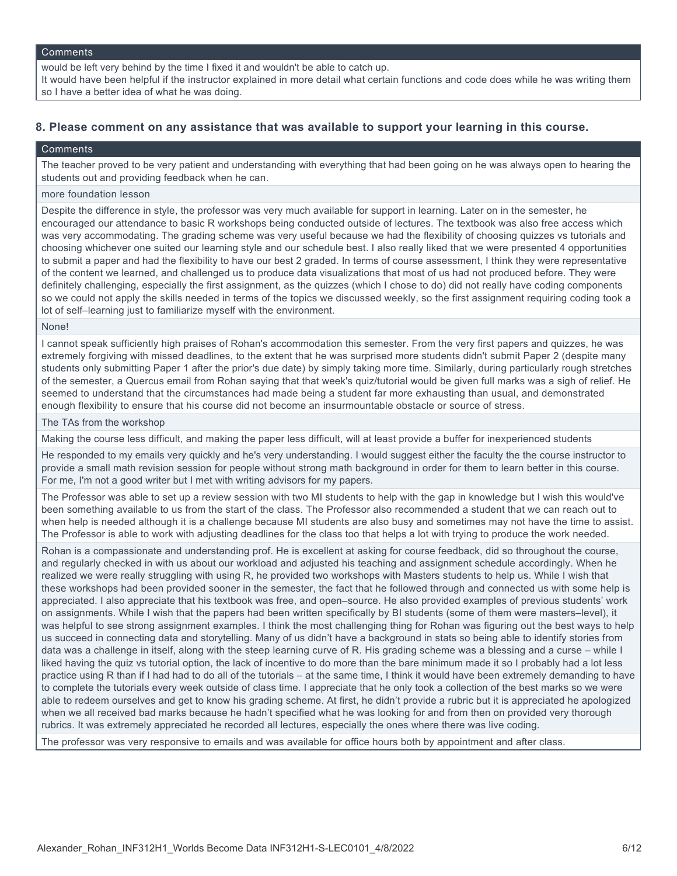#### **Comments**

would be left very behind by the time I fixed it and wouldn't be able to catch up.

It would have been helpful if the instructor explained in more detail what certain functions and code does while he was writing them so I have a better idea of what he was doing.

## **8. Please comment on any assistance that was available to support your learning in this course.**

#### **Comments**

The teacher proved to be very patient and understanding with everything that had been going on he was always open to hearing the students out and providing feedback when he can.

#### more foundation lesson

Despite the difference in style, the professor was very much available for support in learning. Later on in the semester, he encouraged our attendance to basic R workshops being conducted outside of lectures. The textbook was also free access which was very accommodating. The grading scheme was very useful because we had the flexibility of choosing quizzes vs tutorials and choosing whichever one suited our learning style and our schedule best. I also really liked that we were presented 4 opportunities to submit a paper and had the flexibility to have our best 2 graded. In terms of course assessment, I think they were representative of the content we learned, and challenged us to produce data visualizations that most of us had not produced before. They were definitely challenging, especially the first assignment, as the quizzes (which I chose to do) did not really have coding components so we could not apply the skills needed in terms of the topics we discussed weekly, so the first assignment requiring coding took a lot of self–learning just to familiarize myself with the environment.

#### None!

I cannot speak sufficiently high praises of Rohan's accommodation this semester. From the very first papers and quizzes, he was extremely forgiving with missed deadlines, to the extent that he was surprised more students didn't submit Paper 2 (despite many students only submitting Paper 1 after the prior's due date) by simply taking more time. Similarly, during particularly rough stretches of the semester, a Quercus email from Rohan saying that that week's quiz/tutorial would be given full marks was a sigh of relief. He seemed to understand that the circumstances had made being a student far more exhausting than usual, and demonstrated enough flexibility to ensure that his course did not become an insurmountable obstacle or source of stress.

#### The TAs from the workshop

Making the course less difficult, and making the paper less difficult, will at least provide a buffer for inexperienced students

He responded to my emails very quickly and he's very understanding. I would suggest either the faculty the the course instructor to provide a small math revision session for people without strong math background in order for them to learn better in this course. For me, I'm not a good writer but I met with writing advisors for my papers.

The Professor was able to set up a review session with two MI students to help with the gap in knowledge but I wish this would've been something available to us from the start of the class. The Professor also recommended a student that we can reach out to when help is needed although it is a challenge because MI students are also busy and sometimes may not have the time to assist. The Professor is able to work with adjusting deadlines for the class too that helps a lot with trying to produce the work needed.

Rohan is a compassionate and understanding prof. He is excellent at asking for course feedback, did so throughout the course, and regularly checked in with us about our workload and adjusted his teaching and assignment schedule accordingly. When he realized we were really struggling with using R, he provided two workshops with Masters students to help us. While I wish that these workshops had been provided sooner in the semester, the fact that he followed through and connected us with some help is appreciated. I also appreciate that his textbook was free, and open–source. He also provided examples of previous students' work on assignments. While I wish that the papers had been written specifically by BI students (some of them were masters–level), it was helpful to see strong assignment examples. I think the most challenging thing for Rohan was figuring out the best ways to help us succeed in connecting data and storytelling. Many of us didn't have a background in stats so being able to identify stories from data was a challenge in itself, along with the steep learning curve of R. His grading scheme was a blessing and a curse – while I liked having the quiz vs tutorial option, the lack of incentive to do more than the bare minimum made it so I probably had a lot less practice using R than if I had had to do all of the tutorials – at the same time, I think it would have been extremely demanding to have to complete the tutorials every week outside of class time. I appreciate that he only took a collection of the best marks so we were able to redeem ourselves and get to know his grading scheme. At first, he didn't provide a rubric but it is appreciated he apologized when we all received bad marks because he hadn't specified what he was looking for and from then on provided very thorough rubrics. It was extremely appreciated he recorded all lectures, especially the ones where there was live coding.

The professor was very responsive to emails and was available for office hours both by appointment and after class.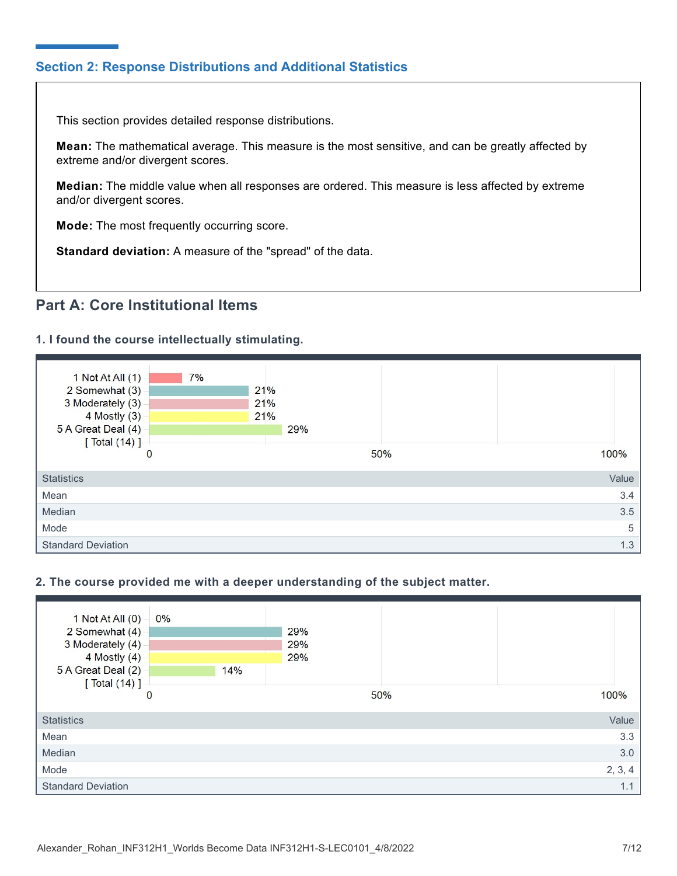## **Section 2: Response Distributions and Additional Statistics**

This section provides detailed response distributions.

**Mean:** The mathematical average. This measure is the most sensitive, and can be greatly affected by extreme and/or divergent scores.

**Median:** The middle value when all responses are ordered. This measure is less affected by extreme and/or divergent scores.

**Mode:** The most frequently occurring score.

**Standard deviation:** A measure of the "spread" of the data.

# **Part A: Core Institutional Items**

## **1. I found the course intellectually stimulating.**



## **2. The course provided me with a deeper understanding of the subject matter.**

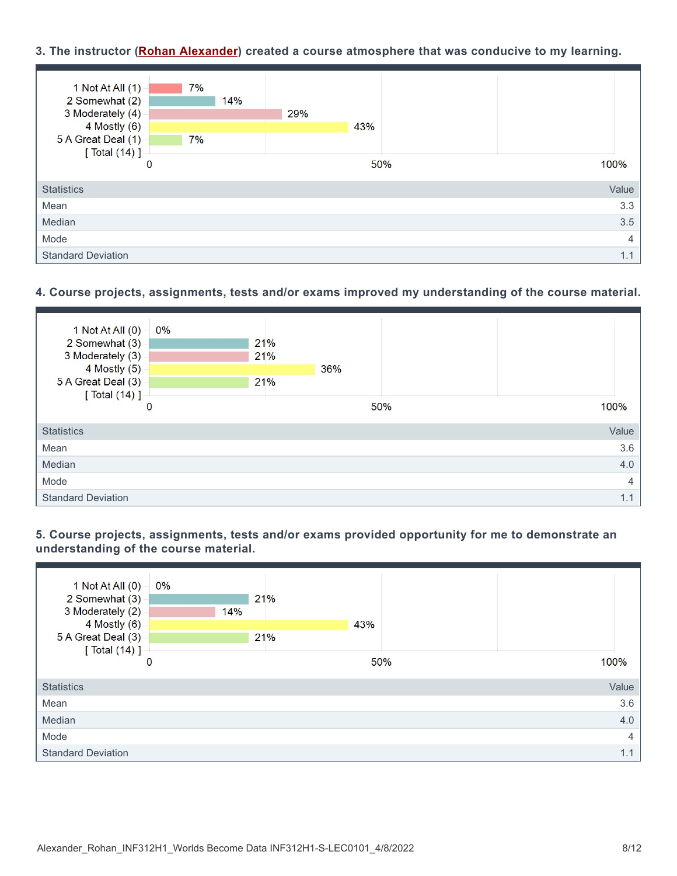## **3. The instructor (Rohan Alexander) created a course atmosphere that was conducive to my learning.**



## **4. Course projects, assignments, tests and/or exams improved my understanding of the course material.**



## **5. Course projects, assignments, tests and/or exams provided opportunity for me to demonstrate an understanding of the course material.**

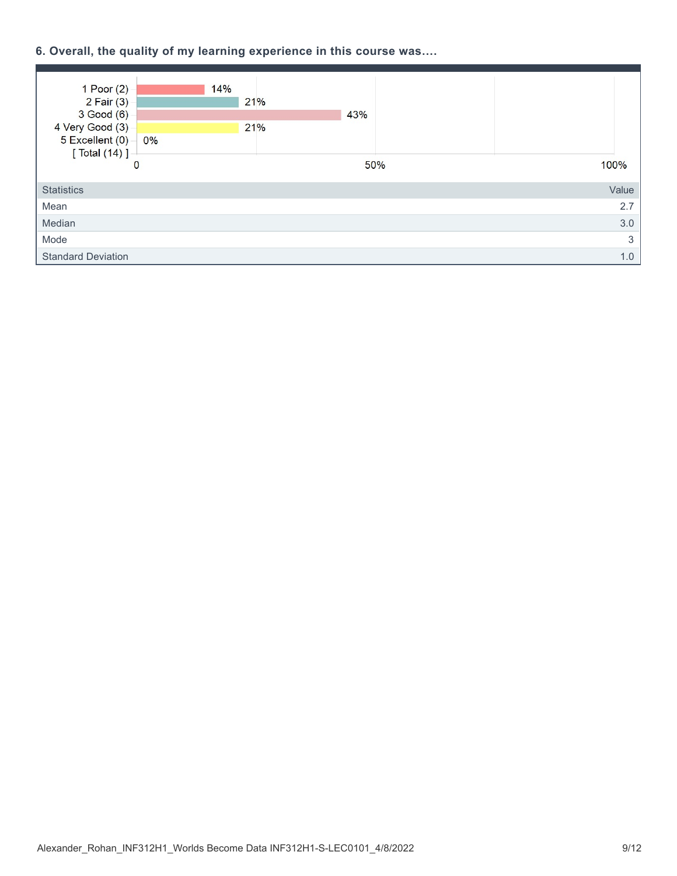## **6. Overall, the quality of my learning experience in this course was….**

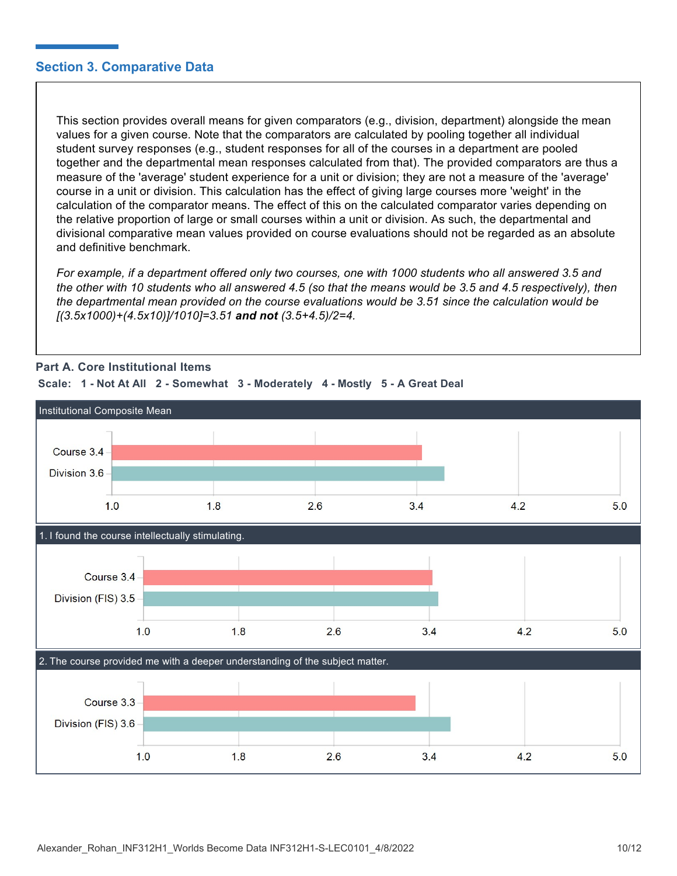## **Section 3. Comparative Data**

This section provides overall means for given comparators (e.g., division, department) alongside the mean values for a given course. Note that the comparators are calculated by pooling together all individual student survey responses (e.g., student responses for all of the courses in a department are pooled together and the departmental mean responses calculated from that). The provided comparators are thus a measure of the 'average' student experience for a unit or division; they are not a measure of the 'average' course in a unit or division. This calculation has the effect of giving large courses more 'weight' in the calculation of the comparator means. The effect of this on the calculated comparator varies depending on the relative proportion of large or small courses within a unit or division. As such, the departmental and divisional comparative mean values provided on course evaluations should not be regarded as an absolute and definitive benchmark.

*For example, if a department offered only two courses, one with 1000 students who all answered 3.5 and the other with 10 students who all answered 4.5 (so that the means would be 3.5 and 4.5 respectively), then the departmental mean provided on the course evaluations would be 3.51 since the calculation would be [(3.5x1000)+(4.5x10)]/1010]=3.51 and not (3.5+4.5)/2=4.*



## **Part A. Core Institutional Items**

**Scale: 1 - Not At All 2 - Somewhat 3 - Moderately 4 - Mostly 5 - A Great Deal**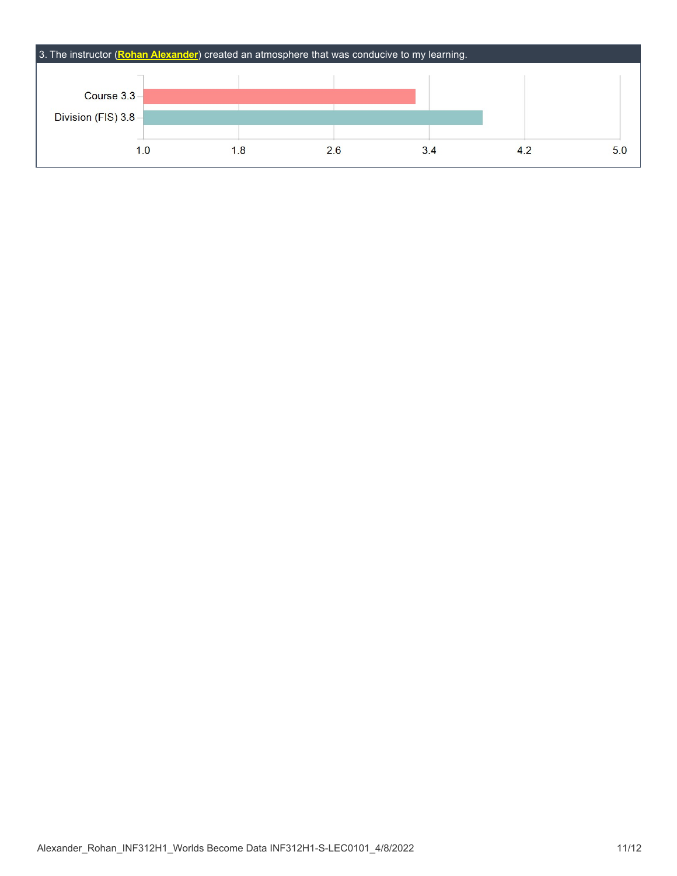